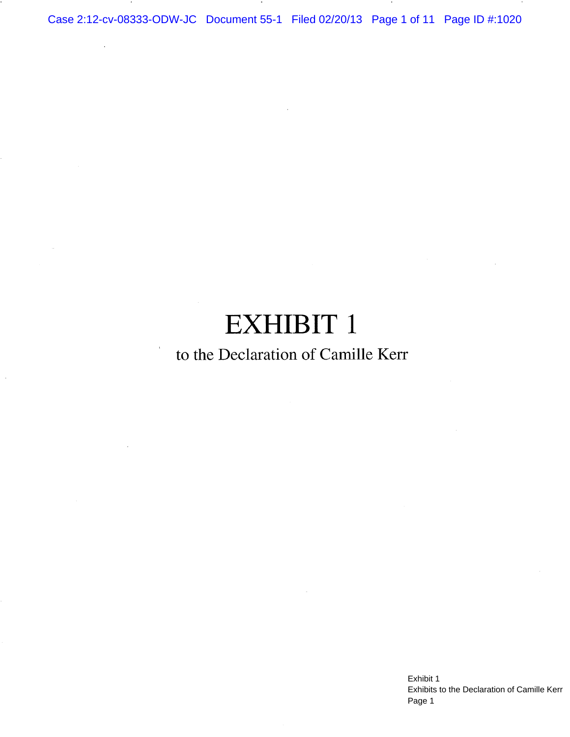Case 2:12-cv-08333-ODW-JC Document 55-1 Filed 02/20/13 Page 1 of 11 Page ID #:1020

# **EXHIBIT 1**

# to the Declaration of Camille Kerr

Exhibit 1 Exhibits to the Declaration of Camille Kerr Page 1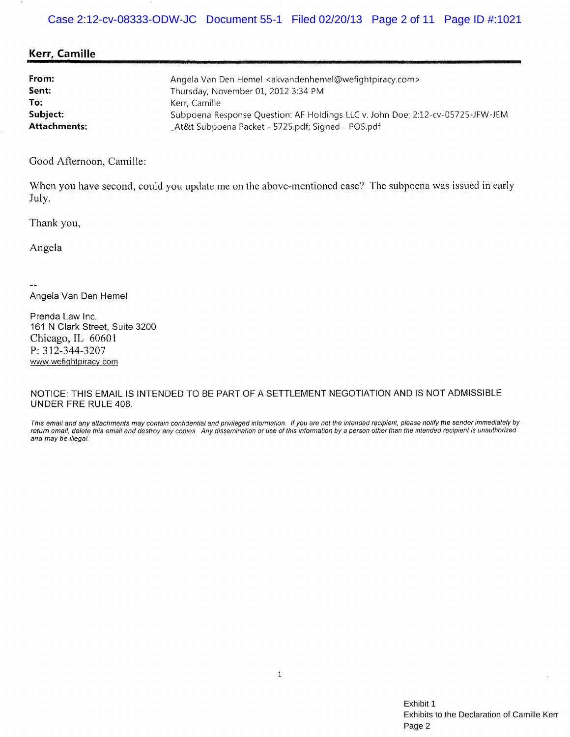## Kerr, Camille

| From:               | Angela Van Den Hemel <akvandenhemel@wefightpiracy.com></akvandenhemel@wefightpiracy.com> |
|---------------------|------------------------------------------------------------------------------------------|
| Sent:               | Thursday, November 01, 2012 3:34 PM                                                      |
| To:                 | -Kerr. Camille                                                                           |
| Subject:            | Subpoena Response Question: AF Holdings LLC v. John Doe; 2:12-cv-05725-JFW-JEM           |
| <b>Attachments:</b> | _At&t Subpoena Packet ~ 5725.pdf; Signed - POS.pdf                                       |

Good Afternoon, Camille:

When you have second, could you update me on the above-mentioned case? The subpoena was issued in early July.

Thank you,

Angela

Angela Van Den Hemel

Prenda Law Inc. 161 N Clark Street, Suite 3200 Chicago, IL 60601 P: 312-344-3207 www.wefightpiracy.com

NOTICE: THIS EMAIL IS INTENDED TO BE PART OF A SETTLEMENT NEGOTIATION AND IS NOT ADMISSIBLE UNDER FRE RULE 408.

This email and any attachments may contain confidential and privileged information. If you are not the intended recipient, please notify the sender immediately by return email, delete this email and destroy any copies. Any dissemination or use of this information by a person other than the intended recipient is unauthorized and may be illegal.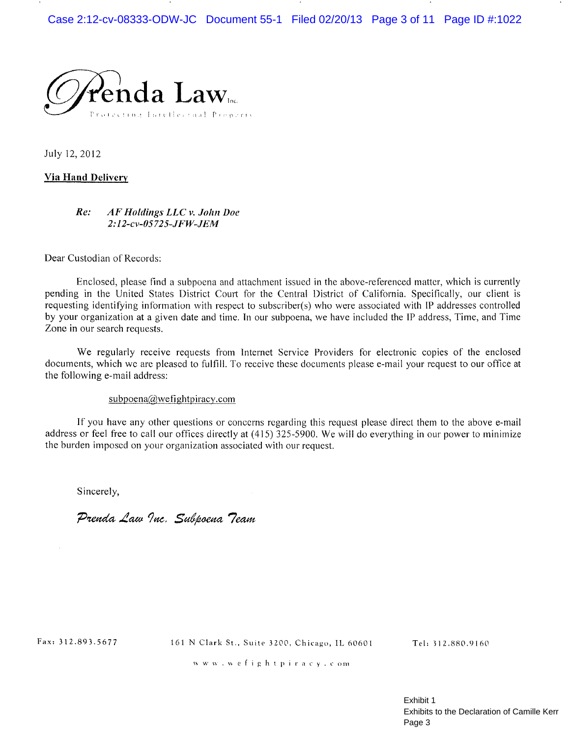

July 12, 2012

#### **Via Hand Delivery**

#### $Re:$ AF Holdings LLC v. John Doe 2:12-cv-05725-JFW-JEM

Dear Custodian of Records:

Enclosed, please find a subpoena and attachment issued in the above-referenced matter, which is currently pending in the United States District Court for the Central District of California. Specifically, our client is requesting identifying information with respect to subscriber(s) who were associated with IP addresses controlled by your organization at a given date and time. In our subpoena, we have included the IP address, Time, and Time Zone in our search requests.

We regularly receive requests from Internet Service Providers for electronic copies of the enclosed documents, which we are pleased to fulfill. To receive these documents please e-mail your request to our office at the following e-mail address:

#### $subpoena@wefightpiracy.com$

If you have any other questions or concerns regarding this request please direct them to the above e-mail address or feel free to call our offices directly at (415) 325-5900. We will do everything in our power to minimize the burden imposed on your organization associated with our request.

Sincerely,

Prenda Law Inc. Subpoena Team

Fax: 312.893.5677

161 N Clark St., Suite 3200, Chicago, IL 60601

Tel: 312.880.9160

www.wefightpiracy.com

Exhibit 1 Exhibits to the Declaration of Camille Kerr Page 3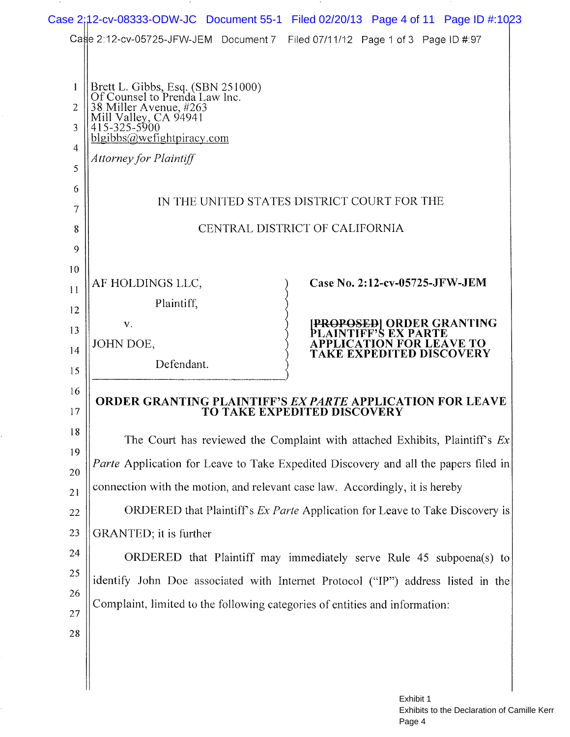|                                                                                |                                                                                                                                                                                                     | Case 2:12-cv-08333-ODW-JC Document 55-1 Filed 02/20/13 Page 4 of 11 Page ID #:1023                                                                                                                                                                                                                                                                                                                                                                                                                                                                                                                                                                                                            |  |
|--------------------------------------------------------------------------------|-----------------------------------------------------------------------------------------------------------------------------------------------------------------------------------------------------|-----------------------------------------------------------------------------------------------------------------------------------------------------------------------------------------------------------------------------------------------------------------------------------------------------------------------------------------------------------------------------------------------------------------------------------------------------------------------------------------------------------------------------------------------------------------------------------------------------------------------------------------------------------------------------------------------|--|
|                                                                                |                                                                                                                                                                                                     | Cage 2:12-cv-05725-JFW-JEM Document 7 Filed 07/11/12 Page 1 of 3 Page ID #:97                                                                                                                                                                                                                                                                                                                                                                                                                                                                                                                                                                                                                 |  |
| 1<br>2<br>3<br>4<br>5<br>6<br>7<br>8<br>9                                      | Brett L. Gibbs, Esq. (SBN 251000)<br>Of Counsel to Prenda Law Inc.<br>38 Miller Avenue, #263<br>Mill Valley, CA 94941<br>415-325-5900<br>blgibbs@wefightpiracy.com<br><b>Attorney for Plaintiff</b> | IN THE UNITED STATES DISTRICT COURT FOR THE<br>CENTRAL DISTRICT OF CALIFORNIA                                                                                                                                                                                                                                                                                                                                                                                                                                                                                                                                                                                                                 |  |
| 10<br>11<br>12<br>13<br>14<br>15                                               | AF HOLDINGS LLC,<br>Plaintiff,<br>V.<br>JOHN DOE,<br>Defendant.                                                                                                                                     | Case No. 2:12-cv-05725-JFW-JEM<br><b>[PROPOSED] ORDER GRANTING</b><br>AINTIFF'S EX PARTE<br><b>APPLICATION FOR LEAVE TO</b><br>TAKE EXPEDITED DISCOVERY                                                                                                                                                                                                                                                                                                                                                                                                                                                                                                                                       |  |
| 16<br>17<br>$1\,8$<br>19<br>20<br>21<br>22<br>23<br>24<br>25<br>26<br>27<br>28 | GRANTED; it is further                                                                                                                                                                              | <b>ORDER GRANTING PLAINTIFF'S EX PARTE APPLICATION FOR LEAVE</b><br><b>TO TAKE EXPEDITED DISCOVERY</b><br>The Court has reviewed the Complaint with attached Exhibits, Plaintiff's Ex<br>Parte Application for Leave to Take Expedited Discovery and all the papers filed in<br>connection with the motion, and relevant case law. Accordingly, it is hereby<br>ORDERED that Plaintiff's <i>Ex Parte</i> Application for Leave to Take Discovery is<br>ORDERED that Plaintiff may immediately serve Rule 45 subpoena(s) to<br>identify John Doe associated with Internet Protocol ("IP") address listed in the<br>Complaint, limited to the following categories of entities and information: |  |
|                                                                                |                                                                                                                                                                                                     |                                                                                                                                                                                                                                                                                                                                                                                                                                                                                                                                                                                                                                                                                               |  |

 $\cdot$ 

 $\sim$ 

 $\sim$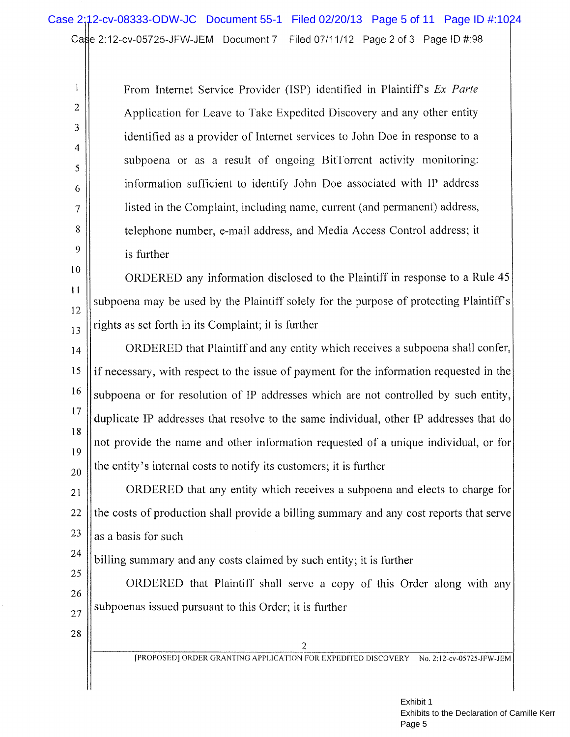From Internet Service Provider (ISP) identified in Plaintiff's Ex Parte Application for Leave to Take Expedited Discovery and any other entity identified as a provider of Internet services to John Doe in response to a subpoena or as a result of ongoing BitTorrent activity monitoring: information sufficient to identify John Doe associated with IP address listed in the Complaint, including name, current (and permanent) address, telephone number, e-mail address, and Media Access Control address; it is further

ORDERED any information disclosed to the Plaintiff in response to a Rule 45 subpoena may be used by the Plaintiff solely for the purpose of protecting Plaintiff's rights as set forth in its Complaint; it is further

ORDERED that Plaintiff and any entity which receives a subpoena shall confer,  $14$ 15 if necessary, with respect to the issue of payment for the information requested in the 16 subpoena or for resolution of IP addresses which are not controlled by such entity,  $17$ duplicate IP addresses that resolve to the same individual, other IP addresses that do 18 not provide the name and other information requested of a unique individual, or for 19 the entity's internal costs to notify its customers, it is further 20

ORDERED that any entity which receives a subpoena and elects to charge for 21 22 the costs of production shall provide a billing summary and any cost reports that serve 23 as a basis for such

billing summary and any costs claimed by such entity; it is further

25 ORDERED that Plaintiff shall serve a copy of this Order along with any 26 subpoenas issued pursuant to this Order; it is further 27

28

24

 $\mathbf{l}$ 

 $\overline{2}$ 

3

 $\overline{4}$ 

5

6

7

8

9

 $10$ 

 $11$ 

12

13

 $\overline{c}$ [PROPOSED] ORDER GRANTING APPLICATION FOR EXPEDITED DISCOVERY No. 2:12-cv-05725-JFW-JEM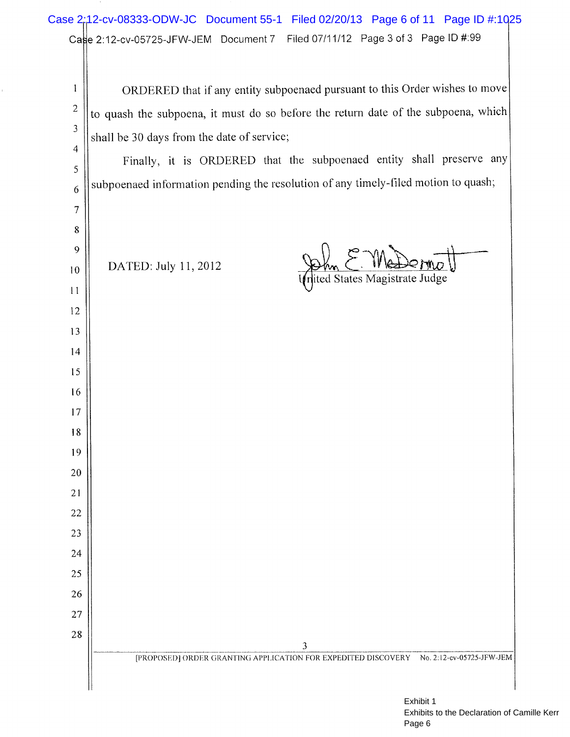# Case 2:12-cv-08333-ODW-JC Document 55-1 Filed 02/20/13 Page 6 of 11 Page ID #:1025Case 2:12-cv-05725-JFW-JEM Document 7 Filed 07/11/12 Page 3 of 3 Page ID #:99

ORDERED that if any entity subpoenaed pursuant to this Order wishes to move  $\mathbf{1}$  $\overline{2}$ to quash the subpoena, it must do so before the return date of the subpoena, which 3 shall be 30 days from the date of service;  $\overline{4}$ Finally, it is ORDERED that the subpoenaed entity shall preserve any 5 subpoenaed information pending the resolution of any timely-filed motion to quash; 6  $\sqrt{ }$ 8 9 DATED: July 11, 2012 Shm C. *WRSPCFTILO*<br>|ited States Magistrate Judge  $10$  $11$ 12 13 14 15 16 17 18 19 20 21 22 23 24 25 26 27 28 3 [PROPOSED] ORDER GRANTING APPLICATION FOR EXPEDITED DISCOVERY No. 2:12-cv-05725-JFW-JEM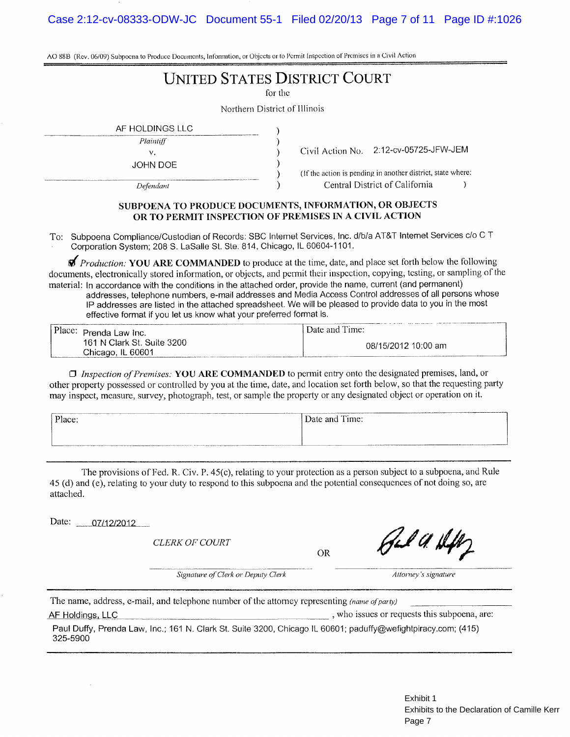AO 88B (Rev. 06/09) Subpocna to Produce Documents, Information, or Objects or to Permit Inspection of Premises in a Civil Action

# **UNITED STATES DISTRICT COURT**

for the

Northern District of Illinois

AF HOLDINGS LLC

 $\bar{V}$ . **JOHN DOE** 

Defendant

Plaintiff

Civil Action No. 2:12-cv-05725-JFW-JEM

 $\lambda$ 

(If the action is pending in another district, state where: Central District of California

#### SUBPOENA TO PRODUCE DOCUMENTS, INFORMATION, OR OBJECTS OR TO PERMIT INSPECTION OF PREMISES IN A CIVIL ACTION

To: Subpoena Compliance/Custodian of Records: SBC Internet Services, Inc. d/b/a AT&T Internet Services c/o C T Corporation System; 208 S. LaSalle St. Ste. 814, Chicago, IL 60604-1101.

*Production:* YOU ARE COMMANDED to produce at the time, date, and place set forth below the following documents, electronically stored information, or objects, and permit their inspection, copying, testing, or sampling of the material: In accordance with the conditions in the attached order, provide the name, current (and permanent) addresses, telephone numbers, e-mail addresses and Media Access Control addresses of all persons whose IP addresses are listed in the attached spreadsheet. We will be pleased to provide data to you in the most

effective format if you let us know what your preferred format is.

| Place: Prenda Law Inc.     | 1.122<br>Date and Time: |
|----------------------------|-------------------------|
| 161 N Clark St. Suite 3200 | 08/15/2012 10:00 am     |
| Chicago, IL 60601          |                         |

 $\Box$  Inspection of Premises: YOU ARE COMMANDED to permit entry onto the designated premises, land, or other property possessed or controlled by you at the time, date, and location set forth below, so that the requesting party may inspect, measure, survey, photograph, test, or sample the property or any designated object or operation on it.

| <b>CALL &amp; A DOWN II . CONTINUES MANAGER</b><br>------<br>Place:                                            | Date and Time: |
|----------------------------------------------------------------------------------------------------------------|----------------|
|                                                                                                                |                |
| , ж. указаны кардардардар тарап аштардарда аталатын каналык аштаган аштаган калып карап алган тарап караштарда |                |

The provisions of Fed. R. Civ. P. 45(c), relating to your protection as a person subject to a subpoena, and Rule 45 (d) and (e), relating to your duty to respond to this subpoena and the potential consequences of not doing so, are attached.

Date: 07/12/2012

**CLERK OF COURT** 

**OR** 

Fel A. Hift

Attorney's signature

The name, address, e-mail, and telephone number of the attorney representing (name of party) AF Holdings, LLC

Signature of Clerk or Deputy Clerk

, who issues or requests this subpoena, are:

Paul Duffy, Prenda Law, Inc.; 161 N. Clark St. Suite 3200, Chicago IL 60601; paduffy@wefightpiracy.com; (415) 325-5900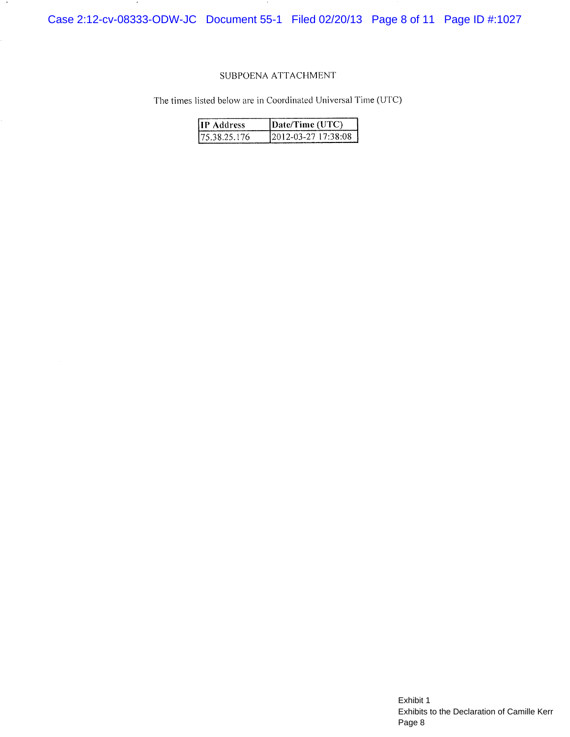Case 2:12-cv-08333-ODW-JC Document 55-1 Filed 02/20/13 Page 8 of 11 Page ID #:1027

 $\blacksquare$ 

#### SUBPOENA ATTACHMENT

The times listed below are in Coordinated Universal Time (UTC)

| <b>IIP Address</b> | [Date/Time (UTC)     |
|--------------------|----------------------|
| 175.38.25.176      | 12012-03-27 17:38:08 |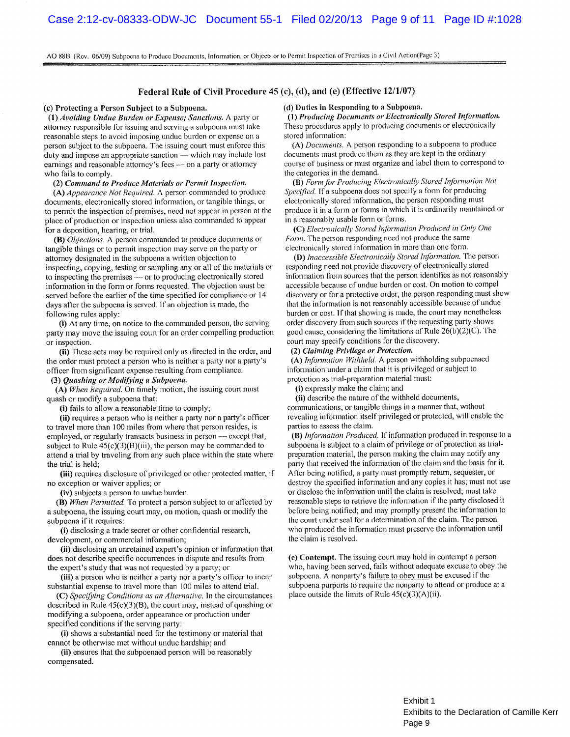AO 88B (Rev. 06/09) Subpoena to Produce Documents, Information, or Objects or to Permit Inspection of Premises in a Civil Action(Page 3)

#### Federal Rule of Civil Procedure 45 (c), (d), and (e) (Effective 12/1/07)

#### (c) Protecting a Person Subject to a Subpoena.

(1) Avoiding Undue Burden or Expense; Sanctions. A party or attorney responsible for issuing and serving a subpoena must take reasonable steps to avoid imposing undue burden or expense on a person subject to the subpoena. The issuing court must enforce this duty and impose an appropriate sanction — which may include lost earnings and reasonable attorney's fees - on a party or attorney who fails to comply.

#### (2) Command to Produce Materials or Permit Inspection.

(A) Appearance Not Required. A person commanded to produce documents, electronically stored information, or tangible things, or to permit the inspection of premises, need not appear in person at the place of production or inspection unless also commanded to appear for a deposition, hearing, or trial.

(B) Objections. A person commanded to produce documents or tangible things or to permit inspection may serve on the party or attorney designated in the subpoena a written objection to inspecting, copying, testing or sampling any or all of the materials or to inspecting the premises — or to producing electronically stored information in the form or forms requested. The objection must be served before the earlier of the time specified for compliance or 14 days after the subpoena is served. If an objection is made, the following rules apply:

(i) At any time, on notice to the commanded person, the serving party may move the issuing court for an order compelling production or inspection.

(ii) These acts may be required only as directed in the order, and the order must protect a person who is neither a party nor a party's officer from significant expense resulting from compliance.

(3) Quashing or Modifying a Subpoena.

(A) When Required. On timely motion, the issuing court must quash or modify a subpoena that:

(i) fails to allow a reasonable time to comply;

(ii) requires a person who is neither a party nor a party's officer to travel more than 100 miles from where that person resides, is employed, or regularly transacts business in person - except that, subject to Rule  $45(c)(3)(B(iii))$ , the person may be commanded to attend a trial by traveling from any such place within the state where the trial is held;

(iii) requires disclosure of privileged or other protected matter, if no exception or waiver applies; or

(iv) subjects a person to undue burden.

(B) When Permitted. To protect a person subject to or affected by a subpoena, the issuing court may, on motion, quash or modify the subpoena if it requires:

(i) disclosing a trade secret or other confidential research, development, or commercial information;

(ii) disclosing an unretained expert's opinion or information that does not describe specific occurrences in dispute and results from the expert's study that was not requested by a party; or

(iii) a person who is neither a party nor a party's officer to incur substantial expense to travel more than 100 miles to attend trial.

(C) Specifying Conditions as an Alternative. In the circumstances described in Rule  $45(c)(3)(B)$ , the court may, instead of quashing or modifying a subpoena, order appearance or production under specified conditions if the serving party:

(i) shows a substantial need for the testimony or material that cannot be otherwise met without undue hardship; and

(ii) ensures that the subpoenaed person will be reasonably compensated.

#### (d) Duties in Responding to a Subpoena.

(1) Producing Documents or Electronically Stored Information. These procedures apply to producing documents or electronically stored information:

(A) Documents. A person responding to a subpoena to produce documents must produce them as they are kept in the ordinary course of business or must organize and label them to correspond to the categories in the demand.

(B) Form for Producing Electronically Stored Information Not Specified. If a subpoena does not specify a form for producing electronically stored information, the person responding must produce it in a form or forms in which it is ordinarily maintained or in a reasonably usable form or forms.

(C) Electronically Stored Information Produced in Only One Form. The person responding need not produce the same electronically stored information in more than one form.

(D) Inaccessible Electronically Stored Information. The person responding need not provide discovery of electronically stored information from sources that the person identifies as not reasonably accessible because of undue burden or cost. On motion to compel discovery or for a protective order, the person responding must show that the information is not reasonably accessible because of undue burden or cost. If that showing is made, the court may nonetheless order discovery from such sources if the requesting party shows good cause, considering the limitations of Rule  $26(b)(2)(C)$ . The court may specify conditions for the discovery.

#### (2) Claiming Privilege or Protection.

(A) Information Withheld. A person withholding subpoenaed information under a claim that it is privileged or subject to protection as trial-preparation material must:

(i) expressly make the claim; and

(ii) describe the nature of the withheld documents, communications, or tangible things in a manner that, without revealing information itself privileged or protected, will enable the parties to assess the claim.

(B) Information Produced. If information produced in response to a subpoena is subject to a claim of privilege or of protection as trialpreparation material, the person making the claim may notify any party that received the information of the claim and the basis for it. After being notified, a party must promptly return, sequester, or destroy the specified information and any copies it has; must not use or disclose the information until the claim is resolved; must take reasonable steps to retrieve the information if the party disclosed it before being notified; and may promptly present the information to the court under seal for a determination of the claim. The person who produced the information must preserve the information until the claim is resolved.

(e) Contempt. The issuing court may hold in contempt a person who, having been served, fails without adequate excuse to obey the subpoena. A nonparty's failure to obey must be excused if the subpoena purports to require the nonparty to attend or produce at a place outside the limits of Rule  $45(c)(3)(A)(ii)$ .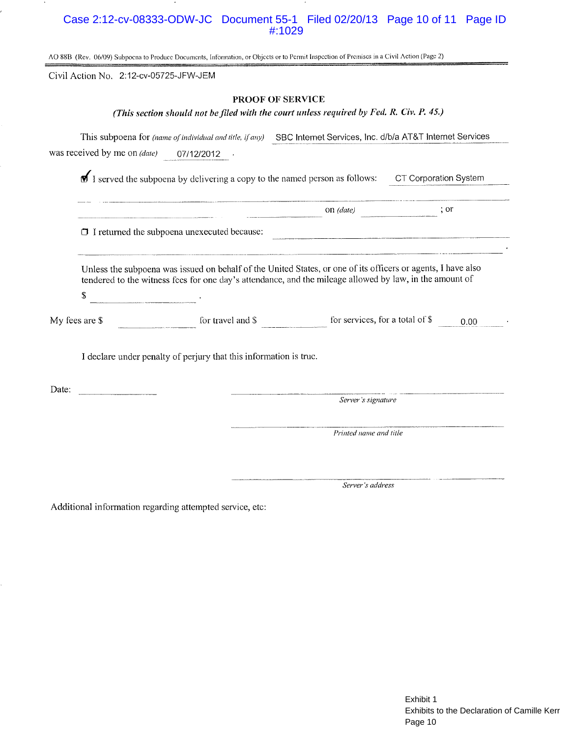## Case 2:12-cv-08333-ODW-JC Document 55-1 Filed 02/20/13 Page 10 of 11 Page ID #:1029

AO 88B (Rev. 06/09) Subpoena to Produce Documents, Information, or Objects or to Permit Inspection of Premises in a Civil Action (Page 2)

Civil Action No. 2:12-cv-05725-JFW-JEM

#### PROOF OF SERVICE

(This section should not be filed with the court unless required by Fed. R. Civ. P. 45.)

This subpoena for (name of individual and title, if any) SBC Internet Services, Inc. d/b/a AT&T Internet Services was received by me on (date) 07/12/2012 .

**f** I served the subpoena by delivering a copy to the named person as follows: CT Corporation System

 $\Box$  I returned the subpoena unexecuted because: 

Unless the subpoena was issued on behalf of the United States, or one of its officers or agents, I have also tendered to the witness fecs for one day's attendance, and the mileage allowed by law, in the amount of  $\mathbb{S}$ 

 $\frac{1}{2}$  for travel and S  $\frac{1}{2}$  for services, for a total of \$  $\frac{0.00}{2}$ . My fees are \$

I declare under penalty of perjury that this information is true.

Date:

Server's signature

 $on (date)$ 

; or

Printed name and title

Server's address

Additional information regarding attempted service, etc: